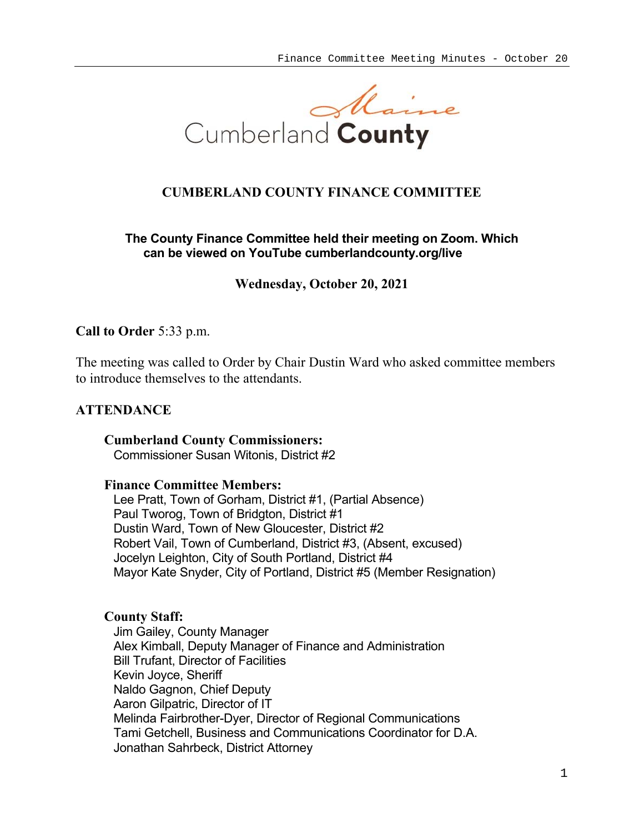

# **CUMBERLAND COUNTY FINANCE COMMITTEE**

## **The County Finance Committee held their meeting on Zoom. Which can be viewed on YouTube cumberlandcounty.org/live**

**Wednesday, October 20, 2021**

## **Call to Order** 5:33 p.m.

The meeting was called to Order by Chair Dustin Ward who asked committee members to introduce themselves to the attendants.

## **ATTENDANCE**

**Cumberland County Commissioners:**  Commissioner Susan Witonis, District #2

## **Finance Committee Members:**

Lee Pratt, Town of Gorham, District #1, (Partial Absence) Paul Tworog, Town of Bridgton, District #1 Dustin Ward, Town of New Gloucester, District #2 Robert Vail, Town of Cumberland, District #3, (Absent, excused) Jocelyn Leighton, City of South Portland, District #4 Mayor Kate Snyder, City of Portland, District #5 (Member Resignation)

## **County Staff:**

Jim Gailey, County Manager Alex Kimball, Deputy Manager of Finance and Administration Bill Trufant, Director of Facilities Kevin Joyce, Sheriff Naldo Gagnon, Chief Deputy Aaron Gilpatric, Director of IT Melinda Fairbrother-Dyer, Director of Regional Communications Tami Getchell, Business and Communications Coordinator for D.A. Jonathan Sahrbeck, District Attorney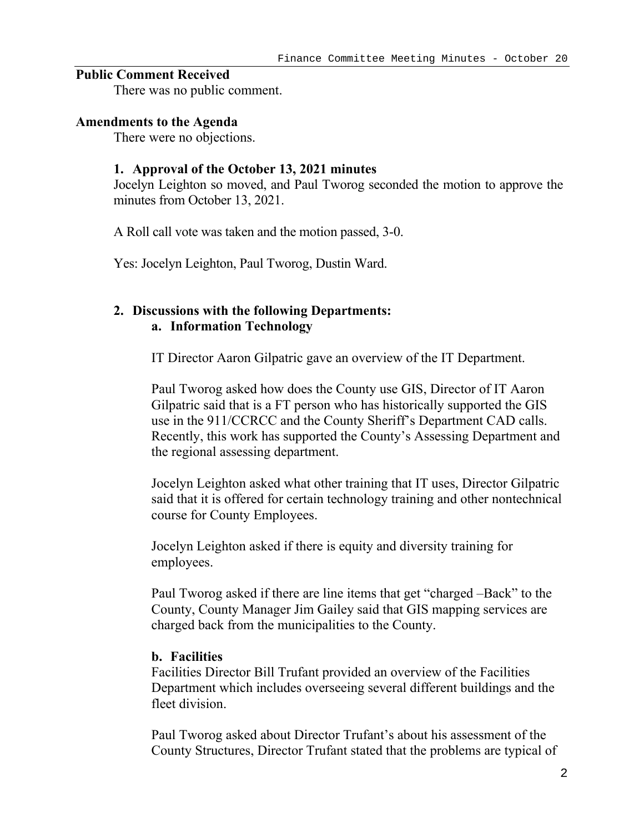## **Public Comment Received**

There was no public comment.

#### **Amendments to the Agenda**

There were no objections.

#### **1. Approval of the October 13, 2021 minutes**

Jocelyn Leighton so moved, and Paul Tworog seconded the motion to approve the minutes from October 13, 2021.

A Roll call vote was taken and the motion passed, 3-0.

Yes: Jocelyn Leighton, Paul Tworog, Dustin Ward.

## **2. Discussions with the following Departments: a. Information Technology**

IT Director Aaron Gilpatric gave an overview of the IT Department.

Paul Tworog asked how does the County use GIS, Director of IT Aaron Gilpatric said that is a FT person who has historically supported the GIS use in the 911/CCRCC and the County Sheriff's Department CAD calls. Recently, this work has supported the County's Assessing Department and the regional assessing department.

Jocelyn Leighton asked what other training that IT uses, Director Gilpatric said that it is offered for certain technology training and other nontechnical course for County Employees.

Jocelyn Leighton asked if there is equity and diversity training for employees.

Paul Tworog asked if there are line items that get "charged –Back" to the County, County Manager Jim Gailey said that GIS mapping services are charged back from the municipalities to the County.

## **b. Facilities**

Facilities Director Bill Trufant provided an overview of the Facilities Department which includes overseeing several different buildings and the fleet division.

Paul Tworog asked about Director Trufant's about his assessment of the County Structures, Director Trufant stated that the problems are typical of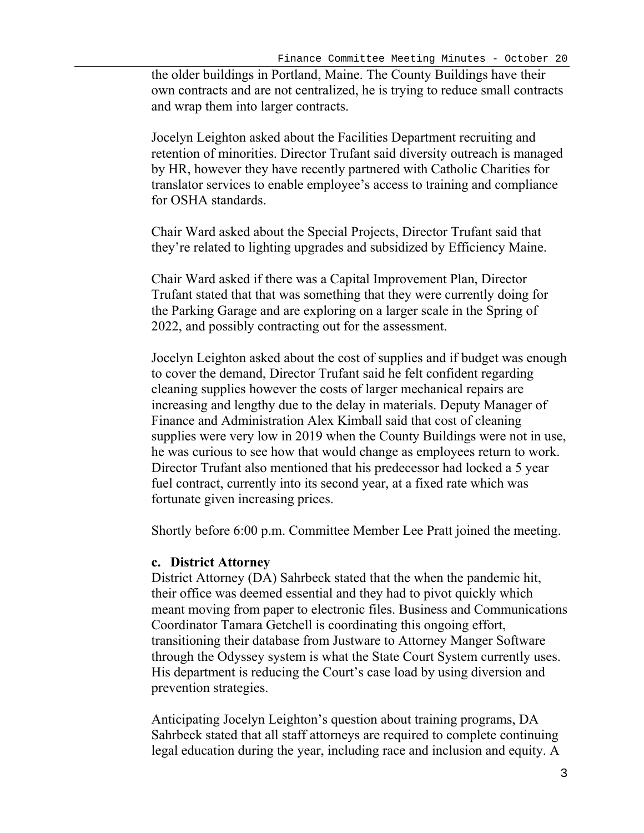the older buildings in Portland, Maine. The County Buildings have their own contracts and are not centralized, he is trying to reduce small contracts and wrap them into larger contracts.

Jocelyn Leighton asked about the Facilities Department recruiting and retention of minorities. Director Trufant said diversity outreach is managed by HR, however they have recently partnered with Catholic Charities for translator services to enable employee's access to training and compliance for OSHA standards.

Chair Ward asked about the Special Projects, Director Trufant said that they're related to lighting upgrades and subsidized by Efficiency Maine.

Chair Ward asked if there was a Capital Improvement Plan, Director Trufant stated that that was something that they were currently doing for the Parking Garage and are exploring on a larger scale in the Spring of 2022, and possibly contracting out for the assessment.

Jocelyn Leighton asked about the cost of supplies and if budget was enough to cover the demand, Director Trufant said he felt confident regarding cleaning supplies however the costs of larger mechanical repairs are increasing and lengthy due to the delay in materials. Deputy Manager of Finance and Administration Alex Kimball said that cost of cleaning supplies were very low in 2019 when the County Buildings were not in use, he was curious to see how that would change as employees return to work. Director Trufant also mentioned that his predecessor had locked a 5 year fuel contract, currently into its second year, at a fixed rate which was fortunate given increasing prices.

Shortly before 6:00 p.m. Committee Member Lee Pratt joined the meeting.

## **c. District Attorney**

District Attorney (DA) Sahrbeck stated that the when the pandemic hit, their office was deemed essential and they had to pivot quickly which meant moving from paper to electronic files. Business and Communications Coordinator Tamara Getchell is coordinating this ongoing effort, transitioning their database from Justware to Attorney Manger Software through the Odyssey system is what the State Court System currently uses. His department is reducing the Court's case load by using diversion and prevention strategies.

Anticipating Jocelyn Leighton's question about training programs, DA Sahrbeck stated that all staff attorneys are required to complete continuing legal education during the year, including race and inclusion and equity. A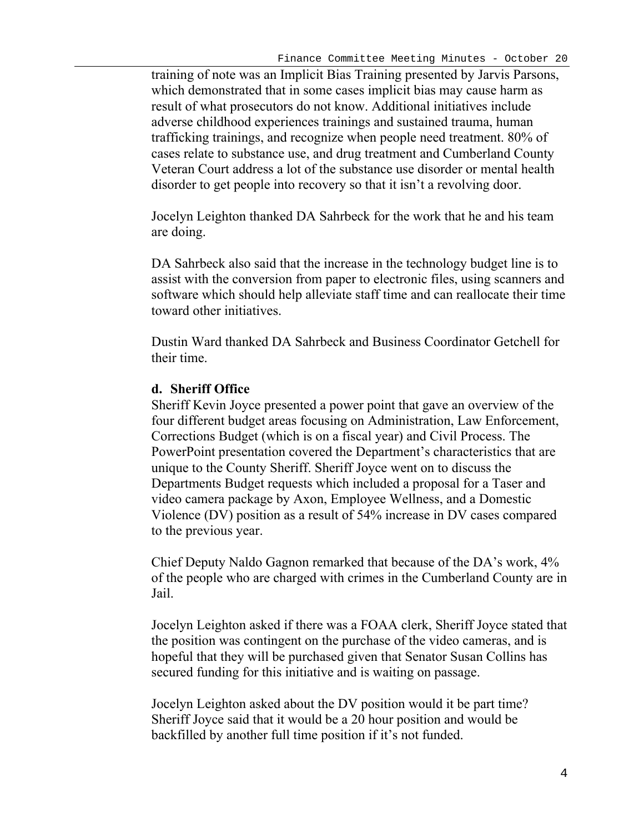training of note was an Implicit Bias Training presented by Jarvis Parsons, which demonstrated that in some cases implicit bias may cause harm as result of what prosecutors do not know. Additional initiatives include adverse childhood experiences trainings and sustained trauma, human trafficking trainings, and recognize when people need treatment. 80% of cases relate to substance use, and drug treatment and Cumberland County Veteran Court address a lot of the substance use disorder or mental health disorder to get people into recovery so that it isn't a revolving door.

Jocelyn Leighton thanked DA Sahrbeck for the work that he and his team are doing.

DA Sahrbeck also said that the increase in the technology budget line is to assist with the conversion from paper to electronic files, using scanners and software which should help alleviate staff time and can reallocate their time toward other initiatives.

Dustin Ward thanked DA Sahrbeck and Business Coordinator Getchell for their time.

# **d. Sheriff Office**

Sheriff Kevin Joyce presented a power point that gave an overview of the four different budget areas focusing on Administration, Law Enforcement, Corrections Budget (which is on a fiscal year) and Civil Process. The PowerPoint presentation covered the Department's characteristics that are unique to the County Sheriff. Sheriff Joyce went on to discuss the Departments Budget requests which included a proposal for a Taser and video camera package by Axon, Employee Wellness, and a Domestic Violence (DV) position as a result of 54% increase in DV cases compared to the previous year.

Chief Deputy Naldo Gagnon remarked that because of the DA's work, 4% of the people who are charged with crimes in the Cumberland County are in Jail.

Jocelyn Leighton asked if there was a FOAA clerk, Sheriff Joyce stated that the position was contingent on the purchase of the video cameras, and is hopeful that they will be purchased given that Senator Susan Collins has secured funding for this initiative and is waiting on passage.

Jocelyn Leighton asked about the DV position would it be part time? Sheriff Joyce said that it would be a 20 hour position and would be backfilled by another full time position if it's not funded.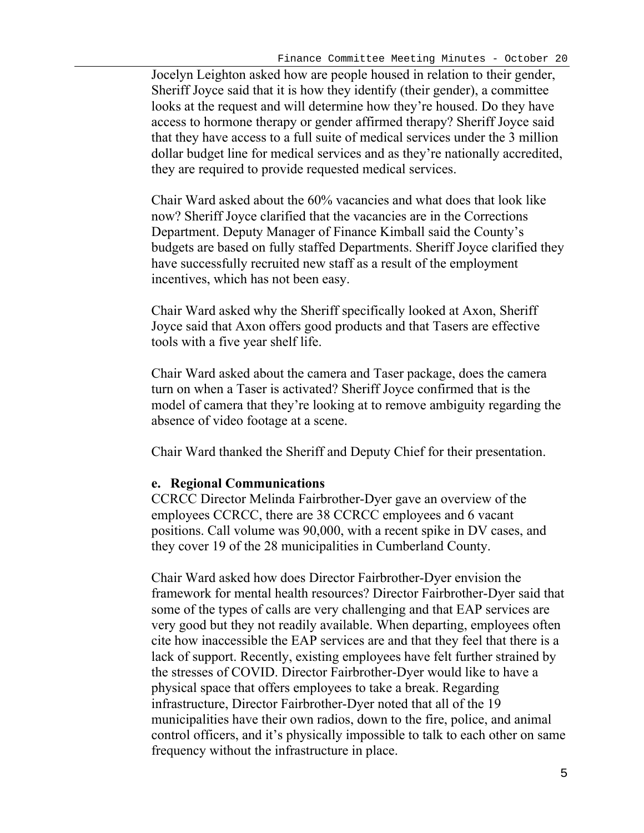Jocelyn Leighton asked how are people housed in relation to their gender, Sheriff Joyce said that it is how they identify (their gender), a committee looks at the request and will determine how they're housed. Do they have access to hormone therapy or gender affirmed therapy? Sheriff Joyce said that they have access to a full suite of medical services under the 3 million dollar budget line for medical services and as they're nationally accredited, they are required to provide requested medical services.

Chair Ward asked about the 60% vacancies and what does that look like now? Sheriff Joyce clarified that the vacancies are in the Corrections Department. Deputy Manager of Finance Kimball said the County's budgets are based on fully staffed Departments. Sheriff Joyce clarified they have successfully recruited new staff as a result of the employment incentives, which has not been easy.

Chair Ward asked why the Sheriff specifically looked at Axon, Sheriff Joyce said that Axon offers good products and that Tasers are effective tools with a five year shelf life.

Chair Ward asked about the camera and Taser package, does the camera turn on when a Taser is activated? Sheriff Joyce confirmed that is the model of camera that they're looking at to remove ambiguity regarding the absence of video footage at a scene.

Chair Ward thanked the Sheriff and Deputy Chief for their presentation.

# **e. Regional Communications**

CCRCC Director Melinda Fairbrother-Dyer gave an overview of the employees CCRCC, there are 38 CCRCC employees and 6 vacant positions. Call volume was 90,000, with a recent spike in DV cases, and they cover 19 of the 28 municipalities in Cumberland County.

Chair Ward asked how does Director Fairbrother-Dyer envision the framework for mental health resources? Director Fairbrother-Dyer said that some of the types of calls are very challenging and that EAP services are very good but they not readily available. When departing, employees often cite how inaccessible the EAP services are and that they feel that there is a lack of support. Recently, existing employees have felt further strained by the stresses of COVID. Director Fairbrother-Dyer would like to have a physical space that offers employees to take a break. Regarding infrastructure, Director Fairbrother-Dyer noted that all of the 19 municipalities have their own radios, down to the fire, police, and animal control officers, and it's physically impossible to talk to each other on same frequency without the infrastructure in place.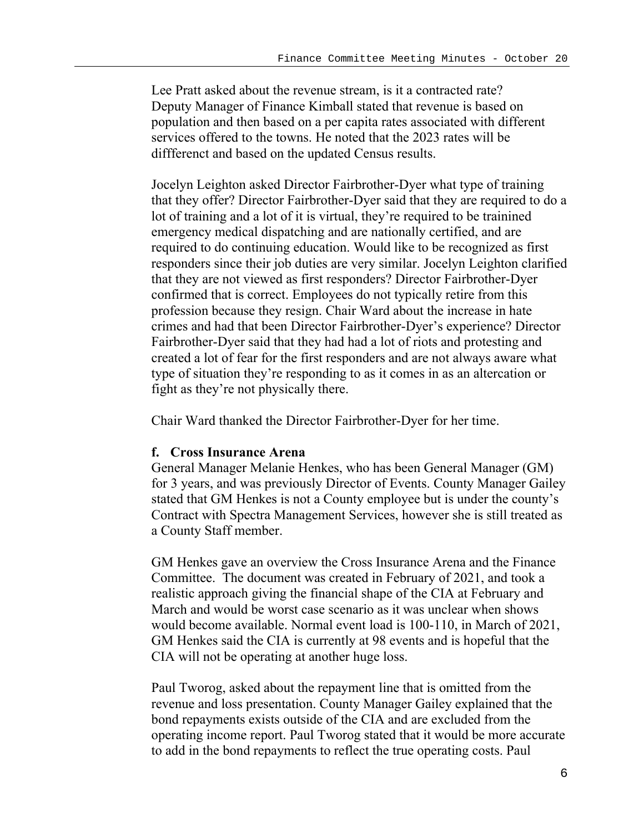Lee Pratt asked about the revenue stream, is it a contracted rate? Deputy Manager of Finance Kimball stated that revenue is based on population and then based on a per capita rates associated with different services offered to the towns. He noted that the 2023 rates will be diffferenct and based on the updated Census results.

Jocelyn Leighton asked Director Fairbrother-Dyer what type of training that they offer? Director Fairbrother-Dyer said that they are required to do a lot of training and a lot of it is virtual, they're required to be trainined emergency medical dispatching and are nationally certified, and are required to do continuing education. Would like to be recognized as first responders since their job duties are very similar. Jocelyn Leighton clarified that they are not viewed as first responders? Director Fairbrother-Dyer confirmed that is correct. Employees do not typically retire from this profession because they resign. Chair Ward about the increase in hate crimes and had that been Director Fairbrother-Dyer's experience? Director Fairbrother-Dyer said that they had had a lot of riots and protesting and created a lot of fear for the first responders and are not always aware what type of situation they're responding to as it comes in as an altercation or fight as they're not physically there.

Chair Ward thanked the Director Fairbrother-Dyer for her time.

## **f. Cross Insurance Arena**

General Manager Melanie Henkes, who has been General Manager (GM) for 3 years, and was previously Director of Events. County Manager Gailey stated that GM Henkes is not a County employee but is under the county's Contract with Spectra Management Services, however she is still treated as a County Staff member.

GM Henkes gave an overview the Cross Insurance Arena and the Finance Committee. The document was created in February of 2021, and took a realistic approach giving the financial shape of the CIA at February and March and would be worst case scenario as it was unclear when shows would become available. Normal event load is 100-110, in March of 2021, GM Henkes said the CIA is currently at 98 events and is hopeful that the CIA will not be operating at another huge loss.

Paul Tworog, asked about the repayment line that is omitted from the revenue and loss presentation. County Manager Gailey explained that the bond repayments exists outside of the CIA and are excluded from the operating income report. Paul Tworog stated that it would be more accurate to add in the bond repayments to reflect the true operating costs. Paul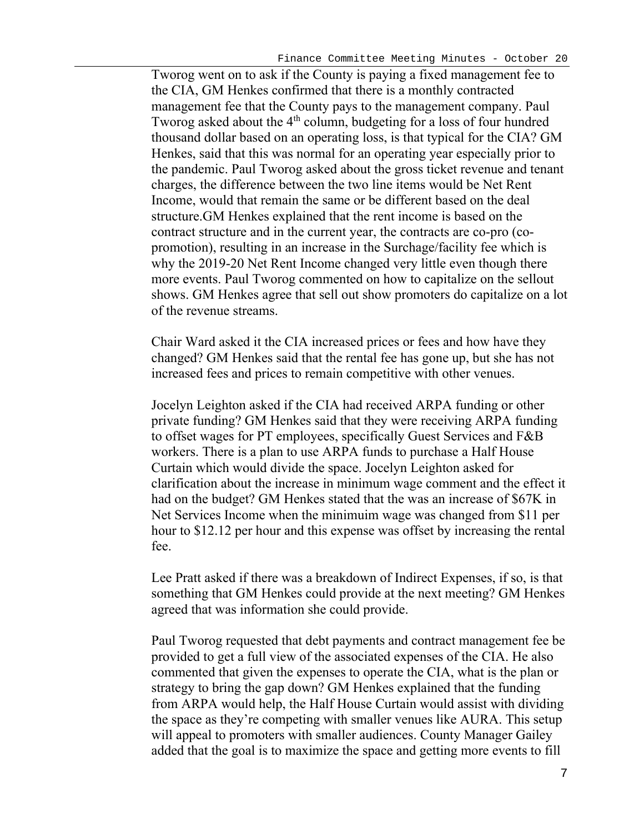Tworog went on to ask if the County is paying a fixed management fee to the CIA, GM Henkes confirmed that there is a monthly contracted management fee that the County pays to the management company. Paul Tworog asked about the  $4<sup>th</sup>$  column, budgeting for a loss of four hundred thousand dollar based on an operating loss, is that typical for the CIA? GM Henkes, said that this was normal for an operating year especially prior to the pandemic. Paul Tworog asked about the gross ticket revenue and tenant charges, the difference between the two line items would be Net Rent Income, would that remain the same or be different based on the deal structure.GM Henkes explained that the rent income is based on the contract structure and in the current year, the contracts are co-pro (copromotion), resulting in an increase in the Surchage/facility fee which is why the 2019-20 Net Rent Income changed very little even though there more events. Paul Tworog commented on how to capitalize on the sellout shows. GM Henkes agree that sell out show promoters do capitalize on a lot of the revenue streams.

Chair Ward asked it the CIA increased prices or fees and how have they changed? GM Henkes said that the rental fee has gone up, but she has not increased fees and prices to remain competitive with other venues.

Jocelyn Leighton asked if the CIA had received ARPA funding or other private funding? GM Henkes said that they were receiving ARPA funding to offset wages for PT employees, specifically Guest Services and F&B workers. There is a plan to use ARPA funds to purchase a Half House Curtain which would divide the space. Jocelyn Leighton asked for clarification about the increase in minimum wage comment and the effect it had on the budget? GM Henkes stated that the was an increase of \$67K in Net Services Income when the minimuim wage was changed from \$11 per hour to \$12.12 per hour and this expense was offset by increasing the rental fee.

Lee Pratt asked if there was a breakdown of Indirect Expenses, if so, is that something that GM Henkes could provide at the next meeting? GM Henkes agreed that was information she could provide.

Paul Tworog requested that debt payments and contract management fee be provided to get a full view of the associated expenses of the CIA. He also commented that given the expenses to operate the CIA, what is the plan or strategy to bring the gap down? GM Henkes explained that the funding from ARPA would help, the Half House Curtain would assist with dividing the space as they're competing with smaller venues like AURA. This setup will appeal to promoters with smaller audiences. County Manager Gailey added that the goal is to maximize the space and getting more events to fill